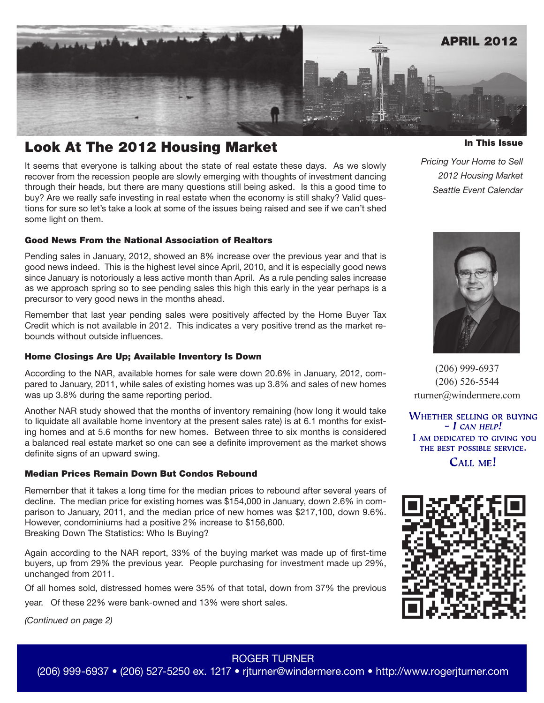

# Look At The 2012 Housing Market

It seems that everyone is talking about the state of real estate these days. As we slowly recover from the recession people are slowly emerging with thoughts of investment dancing through their heads, but there are many questions still being asked. Is this a good time to buy? Are we really safe investing in real estate when the economy is still shaky? Valid questions for sure so let's take a look at some of the issues being raised and see if we can't shed some light on them.

### Good News From the National Association of Realtors

Pending sales in January, 2012, showed an 8% increase over the previous year and that is good news indeed. This is the highest level since April, 2010, and it is especially good news since January is notoriously a less active month than April. As a rule pending sales increase as we approach spring so to see pending sales this high this early in the year perhaps is a precursor to very good news in the months ahead.

Remember that last year pending sales were positively affected by the Home Buyer Tax Credit which is not available in 2012. This indicates a very positive trend as the market rebounds without outside influences.

### Home Closings Are Up; Available Inventory Is Down

According to the NAR, available homes for sale were down 20.6% in January, 2012, compared to January, 2011, while sales of existing homes was up 3.8% and sales of new homes was up 3.8% during the same reporting period.

Another NAR study showed that the months of inventory remaining (how long it would take to liquidate all available home inventory at the present sales rate) is at 6.1 months for existing homes and at 5.6 months for new homes. Between three to six months is considered a balanced real estate market so one can see a definite improvement as the market shows definite signs of an upward swing.

### Median Prices Remain Down But Condos Rebound

Remember that it takes a long time for the median prices to rebound after several years of decline. The median price for existing homes was \$154,000 in January, down 2.6% in comparison to January, 2011, and the median price of new homes was \$217,100, down 9.6%. However, condominiums had a positive 2% increase to \$156,600. Breaking Down The Statistics: Who Is Buying?

Again according to the NAR report, 33% of the buying market was made up of first-time buyers, up from 29% the previous year. People purchasing for investment made up 29%, unchanged from 2011.

Of all homes sold, distressed homes were 35% of that total, down from 37% the previous

year. Of these 22% were bank-owned and 13% were short sales.

*(Continued on page 2)*

In This Issue

*Pricing Your Home to Sell 2012 Housing Market Seattle Event Calendar*



(206) 999-6937 (206) 526-5544 rturner@windermere.com

**WHETHER SELLING OR BUYING**  $-$  I CAN HELP! I AM DEDICATED TO GIVING YOU THE BEST POSSIBLE SERVICE. CALL ME!



# ROGER TURNER

(206) 999-6937 • (206) 527-5250 ex. 1217 • rjturner@windermere.com • http://www.rogerjturner.com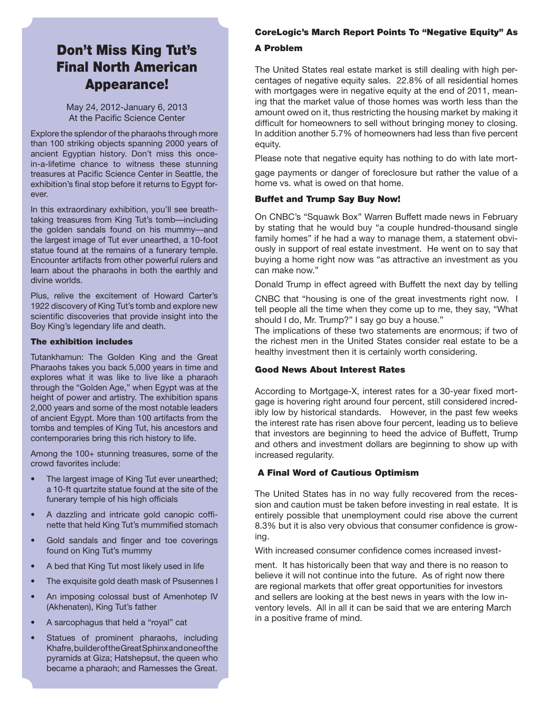# Don't Miss King Tut's Final North American Appearance!

May 24, 2012-January 6, 2013 At the Pacific Science Center

Explore the splendor of the pharaohs through more than 100 striking objects spanning 2000 years of ancient Egyptian history. Don't miss this oncein-a-lifetime chance to witness these stunning treasures at Pacific Science Center in Seattle, the exhibition's final stop before it returns to Egypt forever.

In this extraordinary exhibition, you'll see breathtaking treasures from King Tut's tomb—including the golden sandals found on his mummy—and the largest image of Tut ever unearthed, a 10-foot statue found at the remains of a funerary temple. Encounter artifacts from other powerful rulers and learn about the pharaohs in both the earthly and divine worlds.

Plus, relive the excitement of Howard Carter's 1922 discovery of King Tut's tomb and explore new scientific discoveries that provide insight into the Boy King's legendary life and death.

#### The exhibition includes

Tutankhamun: The Golden King and the Great Pharaohs takes you back 5,000 years in time and explores what it was like to live like a pharaoh through the "Golden Age," when Egypt was at the height of power and artistry. The exhibition spans 2,000 years and some of the most notable leaders of ancient Egypt. More than 100 artifacts from the tombs and temples of King Tut, his ancestors and contemporaries bring this rich history to life.

Among the 100+ stunning treasures, some of the crowd favorites include:

- The largest image of King Tut ever unearthed; a 10-ft quartzite statue found at the site of the funerary temple of his high officials
- A dazzling and intricate gold canopic coffinette that held King Tut's mummified stomach
- Gold sandals and finger and toe coverings found on King Tut's mummy
- A bed that King Tut most likely used in life
- The exquisite gold death mask of Psusennes I
- An imposing colossal bust of Amenhotep IV (Akhenaten), King Tut's father
- A sarcophagus that held a "royal" cat
- Statues of prominent pharaohs, including Khafre, builder of the Great Sphinx and one of the pyramids at Giza; Hatshepsut, the queen who became a pharaoh; and Ramesses the Great.

# CoreLogic's March Report Points To "Negative Equity" As

# A Problem

The United States real estate market is still dealing with high percentages of negative equity sales. 22.8% of all residential homes with mortgages were in negative equity at the end of 2011, meaning that the market value of those homes was worth less than the amount owed on it, thus restricting the housing market by making it difficult for homeowners to sell without bringing money to closing. In addition another 5.7% of homeowners had less than five percent equity.

Please note that negative equity has nothing to do with late mort-

gage payments or danger of foreclosure but rather the value of a home vs. what is owed on that home.

#### Buffet and Trump Say Buy Now!

On CNBC's "Squawk Box" Warren Buffett made news in February by stating that he would buy "a couple hundred-thousand single family homes" if he had a way to manage them, a statement obviously in support of real estate investment. He went on to say that buying a home right now was "as attractive an investment as you can make now."

Donald Trump in effect agreed with Buffett the next day by telling

CNBC that "housing is one of the great investments right now. I tell people all the time when they come up to me, they say, "What should I do, Mr. Trump?" I say go buy a house."

The implications of these two statements are enormous; if two of the richest men in the United States consider real estate to be a healthy investment then it is certainly worth considering.

### Good News About Interest Rates

According to Mortgage-X, interest rates for a 30-year fixed mortgage is hovering right around four percent, still considered incredibly low by historical standards. However, in the past few weeks the interest rate has risen above four percent, leading us to believe that investors are beginning to heed the advice of Buffett, Trump and others and investment dollars are beginning to show up with increased regularity.

## A Final Word of Cautious Optimism

The United States has in no way fully recovered from the recession and caution must be taken before investing in real estate. It is entirely possible that unemployment could rise above the current 8.3% but it is also very obvious that consumer confidence is growing.

With increased consumer confidence comes increased invest-

ment. It has historically been that way and there is no reason to believe it will not continue into the future. As of right now there are regional markets that offer great opportunities for investors and sellers are looking at the best news in years with the low inventory levels. All in all it can be said that we are entering March in a positive frame of mind.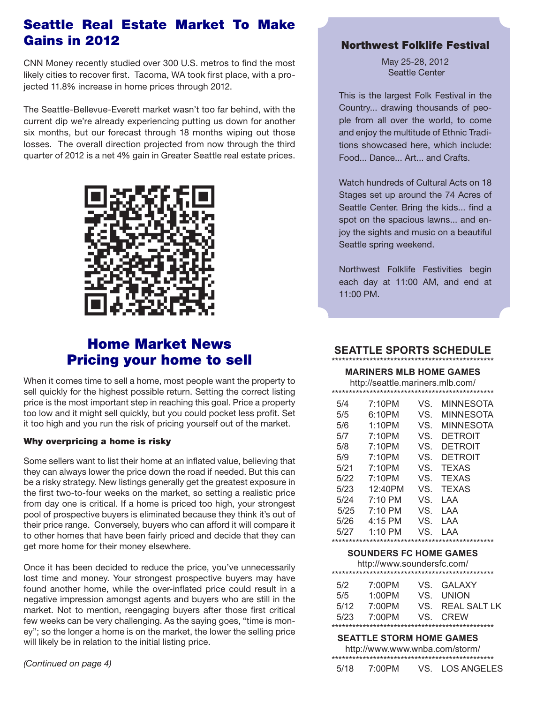# Seattle Real Estate Market To Make Gains in 2012

CNN Money recently studied over 300 U.S. metros to find the most likely cities to recover first. Tacoma, WA took first place, with a projected 11.8% increase in home prices through 2012.

The Seattle-Bellevue-Everett market wasn't too far behind, with the current dip we're already experiencing putting us down for another six months, but our forecast through 18 months wiping out those losses. The overall direction projected from now through the third quarter of 2012 is a net 4% gain in Greater Seattle real estate prices.



# Home Market News Pricing your home to sell

When it comes time to sell a home, most people want the property to sell quickly for the highest possible return. Setting the correct listing price is the most important step in reaching this goal. Price a property too low and it might sell quickly, but you could pocket less profit. Set it too high and you run the risk of pricing yourself out of the market.

## Why overpricing a home is risky

Some sellers want to list their home at an inflated value, believing that they can always lower the price down the road if needed. But this can be a risky strategy. New listings generally get the greatest exposure in the first two-to-four weeks on the market, so setting a realistic price from day one is critical. If a home is priced too high, your strongest pool of prospective buyers is eliminated because they think it's out of their price range. Conversely, buyers who can afford it will compare it to other homes that have been fairly priced and decide that they can get more home for their money elsewhere.

Once it has been decided to reduce the price, you've unnecessarily lost time and money. Your strongest prospective buyers may have found another home, while the over-inflated price could result in a negative impression amongst agents and buyers who are still in the market. Not to mention, reengaging buyers after those first critical few weeks can be very challenging. As the saying goes, "time is money"; so the longer a home is on the market, the lower the selling price will likely be in relation to the initial listing price.

*(Continued on page 4)*

## Northwest Folklife Festival

May 25-28, 2012 Seattle Center

This is the largest Folk Festival in the Country... drawing thousands of people from all over the world, to come and enjoy the multitude of Ethnic Traditions showcased here, which include: Food... Dance... Art... and Crafts.

Watch hundreds of Cultural Acts on 18 Stages set up around the 74 Acres of Seattle Center. Bring the kids... find a spot on the spacious lawns... and enjoy the sights and music on a beautiful Seattle spring weekend.

Northwest Folklife Festivities begin each day at 11:00 AM, and end at 11:00 PM.

# **SEATTLE SPORTS SCHEDULE**

\*\*\*\*\*\*\*\*\*\*\*\*\*\*\*\*\*\*\*\*\*\*\*\*\*\*\*\*\*\*\*\*\*\*\*\*\*\*\*\*\*\*\*\*\*\*\*

**MARINERS MLB HOME GAMES** http://seattle.mariners.mlb.com/

|  | 5/4  | 7:10PM            | VS. | <b>MINNESOTA</b> |  |  |
|--|------|-------------------|-----|------------------|--|--|
|  | 5/5  | 6:10PM            | VS. | MINNESOTA        |  |  |
|  | 5/6  | 1:10PM            | VS. | MINNESOTA        |  |  |
|  | 5/7  | 7:10PM            | VS. | DETROIT          |  |  |
|  | 5/8  | 7:10PM            | VS. | <b>DETROIT</b>   |  |  |
|  | 5/9  | 7:10PM            | VS. | <b>DETROIT</b>   |  |  |
|  | 5/21 | 7:10PM            | VS. | <b>TEXAS</b>     |  |  |
|  | 5/22 | 7:10PM            | VS. | <b>TEXAS</b>     |  |  |
|  | 5/23 | 12:40PM           | VS. | <b>TEXAS</b>     |  |  |
|  | 5/24 | $7:10 \text{ PM}$ | VS. | LAA              |  |  |
|  | 5/25 | $7:10 \text{ PM}$ | VS. | LAA              |  |  |
|  | 5/26 | 4:15 PM           | VS. | LAA              |  |  |
|  | 5/27 | $1.10$ PM         | VS. | l AA             |  |  |
|  |      |                   |     |                  |  |  |

#### **SOUNDERS FC HOME GAMES**

http://www.soundersfc.com/

| 7:00PM | VS. GALAXY       |
|--------|------------------|
| 1:00PM | VS. UNION        |
| 7:00PM | VS. REAL SALT LK |
| 7:00PM | VS CREW          |
|        |                  |
|        |                  |

 **SEATTLE STORM HOME GAMES**

http://www.www.wnba.com/storm/

5/18 7:00PM VS. LOS ANGELES